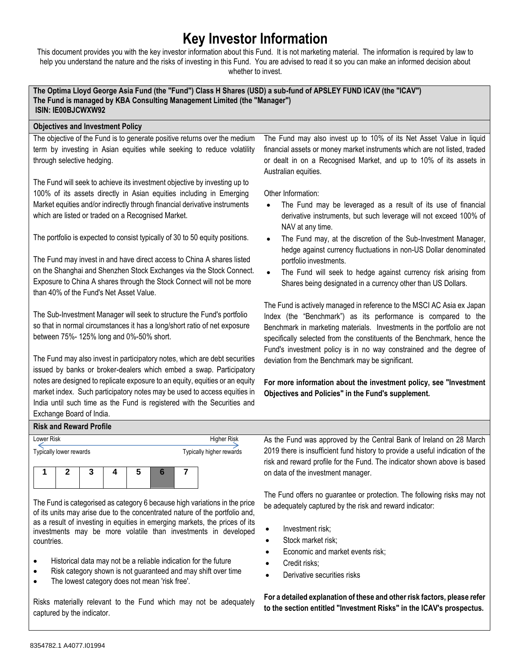# **Key Investor Information**

This document provides you with the key investor information about this Fund. It is not marketing material. The information is required by law to help you understand the nature and the risks of investing in this Fund. You are advised to read it so you can make an informed decision about whether to invest.

**The Optima Lloyd George Asia Fund (the "Fund") Class H Shares (USD) a sub-fund of APSLEY FUND ICAV (the "ICAV") The Fund is managed by KBA Consulting Management Limited (the "Manager") ISIN: IE00BJCWXW92**

## **Objectives and Investment Policy**

The objective of the Fund is to generate positive returns over the medium term by investing in Asian equities while seeking to reduce volatility through selective hedging.

The Fund will seek to achieve its investment objective by investing up to 100% of its assets directly in Asian equities including in Emerging Market equities and/or indirectly through financial derivative instruments which are listed or traded on a Recognised Market.

The portfolio is expected to consist typically of 30 to 50 equity positions.

The Fund may invest in and have direct access to China A shares listed on the Shanghai and Shenzhen Stock Exchanges via the Stock Connect. Exposure to China A shares through the Stock Connect will not be more than 40% of the Fund's Net Asset Value.

The Sub-Investment Manager will seek to structure the Fund's portfolio so that in normal circumstances it has a long/short ratio of net exposure between 75%- 125% long and 0%-50% short.

The Fund may also invest in participatory notes, which are debt securities issued by banks or broker-dealers which embed a swap. Participatory notes are designed to replicate exposure to an equity, equities or an equity market index. Such participatory notes may be used to access equities in India until such time as the Fund is registered with the Securities and Exchange Board of India.

The Fund may also invest up to 10% of its Net Asset Value in liquid financial assets or money market instruments which are not listed, traded or dealt in on a Recognised Market, and up to 10% of its assets in Australian equities.

Other Information:

- The Fund may be leveraged as a result of its use of financial derivative instruments, but such leverage will not exceed 100% of NAV at any time.
- The Fund may, at the discretion of the Sub-Investment Manager, hedge against currency fluctuations in non-US Dollar denominated portfolio investments.
- The Fund will seek to hedge against currency risk arising from Shares being designated in a currency other than US Dollars.

The Fund is actively managed in reference to the MSCI AC Asia ex Japan Index (the "Benchmark") as its performance is compared to the Benchmark in marketing materials. Investments in the portfolio are not specifically selected from the constituents of the Benchmark, hence the Fund's investment policy is in no way constrained and the degree of deviation from the Benchmark may be significant.

**For more information about the investment policy, see "Investment Objectives and Policies" in the Fund's supplement.**

## **Risk and Reward Profile**

| Lower Risk              |  |  |  |  |   |  | <b>Higher Risk</b>       |
|-------------------------|--|--|--|--|---|--|--------------------------|
| Typically lower rewards |  |  |  |  |   |  | Typically higher rewards |
|                         |  |  |  |  | 5 |  |                          |

The Fund is categorised as category 6 because high variations in the price of its units may arise due to the concentrated nature of the portfolio and, as a result of investing in equities in emerging markets, the prices of its investments may be more volatile than investments in developed countries.

- Historical data may not be a reliable indication for the future
- Risk category shown is not guaranteed and may shift over time
- The lowest category does not mean 'risk free'.

Risks materially relevant to the Fund which may not be adequately captured by the indicator.

As the Fund was approved by the Central Bank of Ireland on 28 March 2019 there is insufficient fund history to provide a useful indication of the risk and reward profile for the Fund. The indicator shown above is based on data of the investment manager.

The Fund offers no guarantee or protection. The following risks may not be adequately captured by the risk and reward indicator:

- Investment risk;
- Stock market risk;
- Economic and market events risk;
- Credit risks;
- Derivative securities risks

**For a detailed explanation of these and other risk factors, please refer to the section entitled "Investment Risks" in the ICAV's prospectus.**